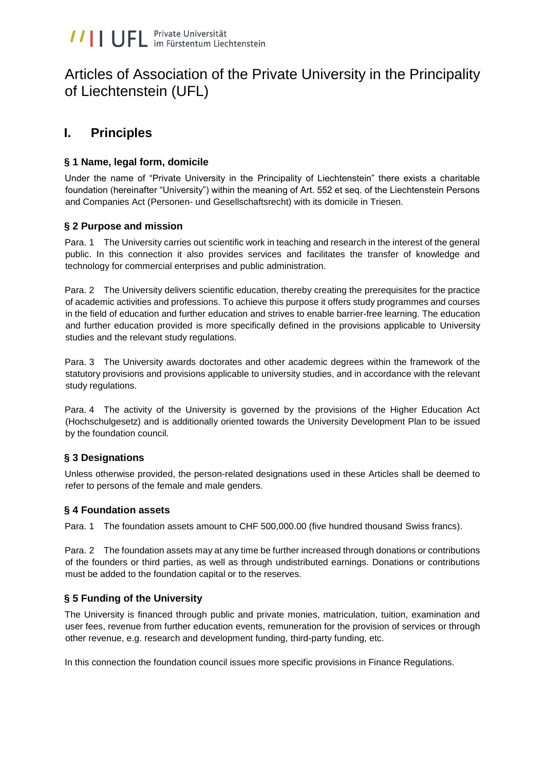# Articles of Association of the Private University in the Principality of Liechtenstein (UFL)

# **I. Principles**

# **§ 1 Name, legal form, domicile**

Under the name of "Private University in the Principality of Liechtenstein" there exists a charitable foundation (hereinafter "University") within the meaning of Art. 552 et seq. of the Liechtenstein Persons and Companies Act (Personen- und Gesellschaftsrecht) with its domicile in Triesen.

## **§ 2 Purpose and mission**

Para. 1 The University carries out scientific work in teaching and research in the interest of the general public. In this connection it also provides services and facilitates the transfer of knowledge and technology for commercial enterprises and public administration.

Para. 2 The University delivers scientific education, thereby creating the prerequisites for the practice of academic activities and professions. To achieve this purpose it offers study programmes and courses in the field of education and further education and strives to enable barrier-free learning. The education and further education provided is more specifically defined in the provisions applicable to University studies and the relevant study regulations.

Para. 3 The University awards doctorates and other academic degrees within the framework of the statutory provisions and provisions applicable to university studies, and in accordance with the relevant study regulations.

Para. 4 The activity of the University is governed by the provisions of the Higher Education Act (Hochschulgesetz) and is additionally oriented towards the University Development Plan to be issued by the foundation council.

# **§ 3 Designations**

Unless otherwise provided, the person-related designations used in these Articles shall be deemed to refer to persons of the female and male genders.

## **§ 4 Foundation assets**

Para. 1 The foundation assets amount to CHF 500,000.00 (five hundred thousand Swiss francs).

Para. 2 The foundation assets may at any time be further increased through donations or contributions of the founders or third parties, as well as through undistributed earnings. Donations or contributions must be added to the foundation capital or to the reserves.

# **§ 5 Funding of the University**

The University is financed through public and private monies, matriculation, tuition, examination and user fees, revenue from further education events, remuneration for the provision of services or through other revenue, e.g. research and development funding, third-party funding, etc.

In this connection the foundation council issues more specific provisions in Finance Regulations.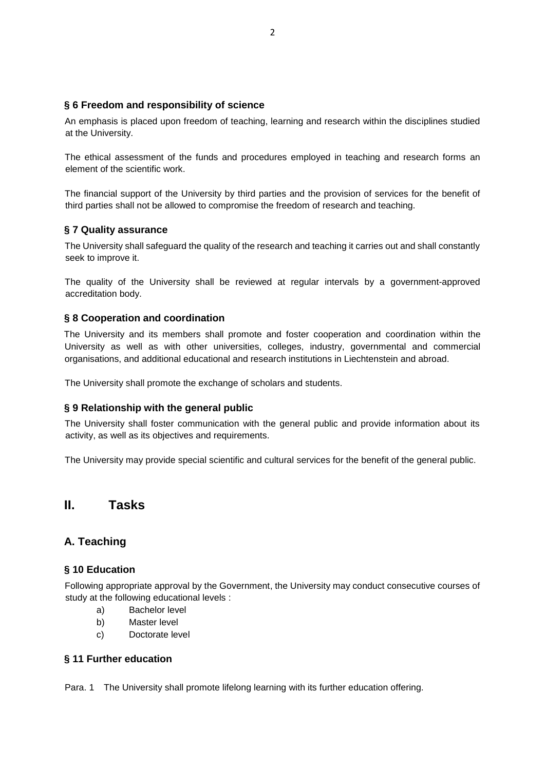## **§ 6 Freedom and responsibility of science**

An emphasis is placed upon freedom of teaching, learning and research within the disciplines studied at the University.

The ethical assessment of the funds and procedures employed in teaching and research forms an element of the scientific work.

The financial support of the University by third parties and the provision of services for the benefit of third parties shall not be allowed to compromise the freedom of research and teaching.

#### **§ 7 Quality assurance**

The University shall safeguard the quality of the research and teaching it carries out and shall constantly seek to improve it.

The quality of the University shall be reviewed at regular intervals by a government-approved accreditation body.

#### **§ 8 Cooperation and coordination**

The University and its members shall promote and foster cooperation and coordination within the University as well as with other universities, colleges, industry, governmental and commercial organisations, and additional educational and research institutions in Liechtenstein and abroad.

The University shall promote the exchange of scholars and students.

#### **§ 9 Relationship with the general public**

The University shall foster communication with the general public and provide information about its activity, as well as its objectives and requirements.

The University may provide special scientific and cultural services for the benefit of the general public.

# **II. Tasks**

# **A. Teaching**

#### **§ 10 Education**

Following appropriate approval by the Government, the University may conduct consecutive courses of study at the following educational levels :

- a) Bachelor level
- b) Master level
- c) Doctorate level

#### **§ 11 Further education**

Para. 1 The University shall promote lifelong learning with its further education offering.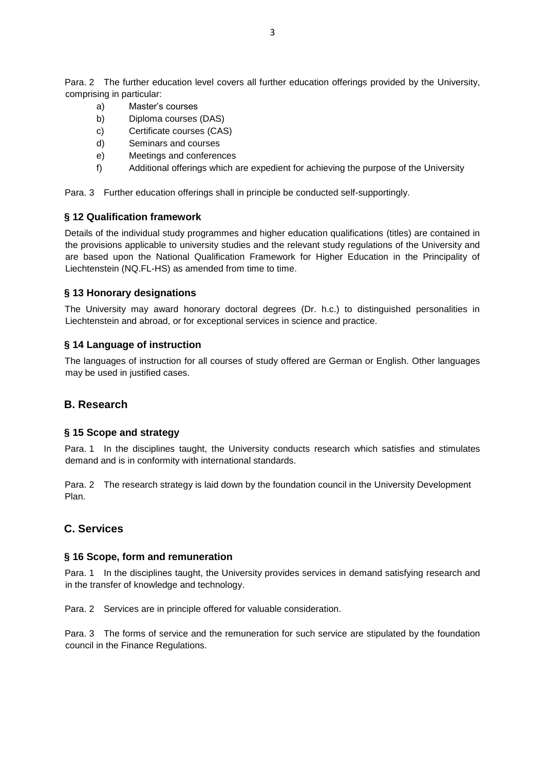Para. 2 The further education level covers all further education offerings provided by the University, comprising in particular:

- a) Master's courses
- b) Diploma courses (DAS)
- c) Certificate courses (CAS)
- d) Seminars and courses
- e) Meetings and conferences
- f) Additional offerings which are expedient for achieving the purpose of the University

Para. 3 Further education offerings shall in principle be conducted self-supportingly.

#### **§ 12 Qualification framework**

Details of the individual study programmes and higher education qualifications (titles) are contained in the provisions applicable to university studies and the relevant study regulations of the University and are based upon the National Qualification Framework for Higher Education in the Principality of Liechtenstein (NQ.FL-HS) as amended from time to time.

#### **§ 13 Honorary designations**

The University may award honorary doctoral degrees (Dr. h.c.) to distinguished personalities in Liechtenstein and abroad, or for exceptional services in science and practice.

#### **§ 14 Language of instruction**

The languages of instruction for all courses of study offered are German or English. Other languages may be used in justified cases.

## **B. Research**

#### **§ 15 Scope and strategy**

Para. 1 In the disciplines taught, the University conducts research which satisfies and stimulates demand and is in conformity with international standards.

Para. 2 The research strategy is laid down by the foundation council in the University Development Plan.

## **C. Services**

#### **§ 16 Scope, form and remuneration**

Para. 1 In the disciplines taught, the University provides services in demand satisfying research and in the transfer of knowledge and technology.

Para. 2 Services are in principle offered for valuable consideration.

Para. 3 The forms of service and the remuneration for such service are stipulated by the foundation council in the Finance Regulations.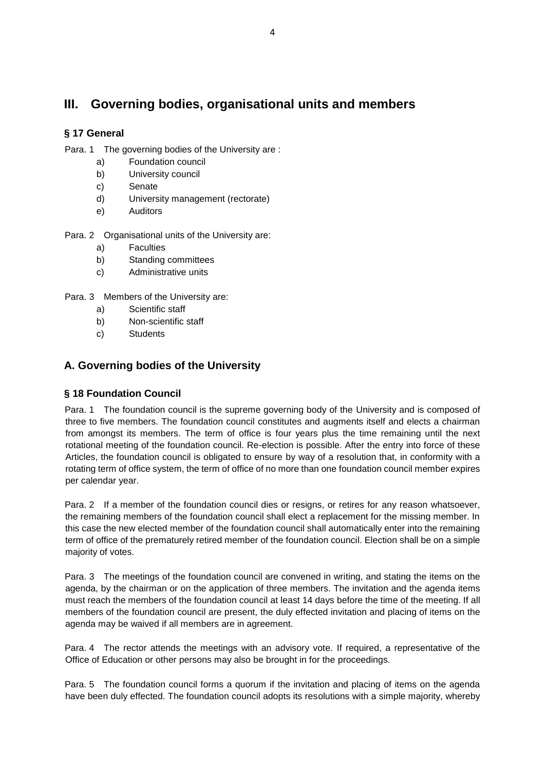# **III. Governing bodies, organisational units and members**

# **§ 17 General**

Para. 1 The governing bodies of the University are :

- a) Foundation council
- b) University council
- c) Senate
- d) University management (rectorate)
- e) Auditors

Para. 2 Organisational units of the University are:

- a) Faculties
- b) Standing committees
- c) Administrative units

Para. 3 Members of the University are:

- a) Scientific staff
- b) Non-scientific staff
- c) Students

# **A. Governing bodies of the University**

## **§ 18 Foundation Council**

Para. 1 The foundation council is the supreme governing body of the University and is composed of three to five members. The foundation council constitutes and augments itself and elects a chairman from amongst its members. The term of office is four years plus the time remaining until the next rotational meeting of the foundation council. Re-election is possible. After the entry into force of these Articles, the foundation council is obligated to ensure by way of a resolution that, in conformity with a rotating term of office system, the term of office of no more than one foundation council member expires per calendar year.

Para. 2 If a member of the foundation council dies or resigns, or retires for any reason whatsoever, the remaining members of the foundation council shall elect a replacement for the missing member. In this case the new elected member of the foundation council shall automatically enter into the remaining term of office of the prematurely retired member of the foundation council. Election shall be on a simple majority of votes.

Para. 3 The meetings of the foundation council are convened in writing, and stating the items on the agenda, by the chairman or on the application of three members. The invitation and the agenda items must reach the members of the foundation council at least 14 days before the time of the meeting. If all members of the foundation council are present, the duly effected invitation and placing of items on the agenda may be waived if all members are in agreement.

Para. 4 The rector attends the meetings with an advisory vote. If required, a representative of the Office of Education or other persons may also be brought in for the proceedings.

Para. 5 The foundation council forms a quorum if the invitation and placing of items on the agenda have been duly effected. The foundation council adopts its resolutions with a simple majority, whereby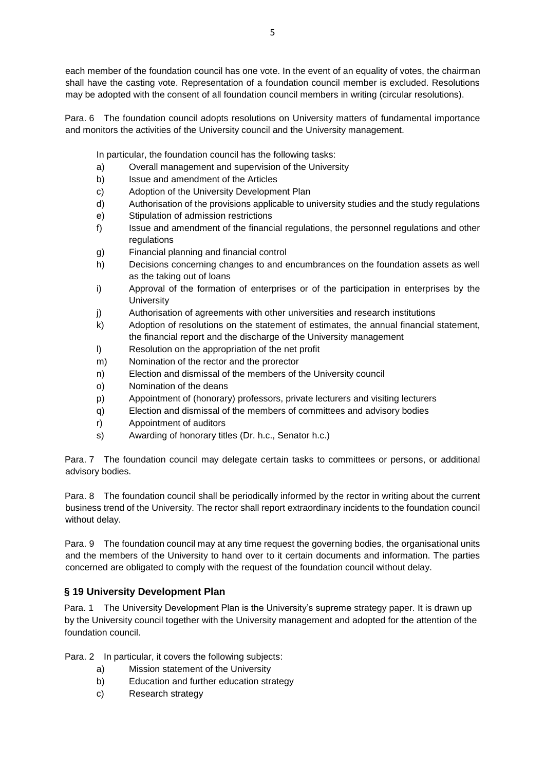each member of the foundation council has one vote. In the event of an equality of votes, the chairman shall have the casting vote. Representation of a foundation council member is excluded. Resolutions may be adopted with the consent of all foundation council members in writing (circular resolutions).

Para. 6 The foundation council adopts resolutions on University matters of fundamental importance and monitors the activities of the University council and the University management.

In particular, the foundation council has the following tasks:

- a) Overall management and supervision of the University
- b) Issue and amendment of the Articles
- c) Adoption of the University Development Plan
- d) Authorisation of the provisions applicable to university studies and the study regulations
- e) Stipulation of admission restrictions
- f) Issue and amendment of the financial regulations, the personnel regulations and other regulations
- g) Financial planning and financial control
- h) Decisions concerning changes to and encumbrances on the foundation assets as well as the taking out of loans
- i) Approval of the formation of enterprises or of the participation in enterprises by the **University**
- j) Authorisation of agreements with other universities and research institutions
- k) Adoption of resolutions on the statement of estimates, the annual financial statement, the financial report and the discharge of the University management
- l) Resolution on the appropriation of the net profit
- m) Nomination of the rector and the prorector
- n) Election and dismissal of the members of the University council
- o) Nomination of the deans
- p) Appointment of (honorary) professors, private lecturers and visiting lecturers
- q) Election and dismissal of the members of committees and advisory bodies
- r) Appointment of auditors
- s) Awarding of honorary titles (Dr. h.c., Senator h.c.)

Para. 7 The foundation council may delegate certain tasks to committees or persons, or additional advisory bodies.

Para. 8 The foundation council shall be periodically informed by the rector in writing about the current business trend of the University. The rector shall report extraordinary incidents to the foundation council without delay.

Para. 9 The foundation council may at any time request the governing bodies, the organisational units and the members of the University to hand over to it certain documents and information. The parties concerned are obligated to comply with the request of the foundation council without delay.

## **§ 19 University Development Plan**

Para. 1 The University Development Plan is the University's supreme strategy paper. It is drawn up by the University council together with the University management and adopted for the attention of the foundation council.

Para. 2 In particular, it covers the following subjects:

- a) Mission statement of the University
- b) Education and further education strategy
- c) Research strategy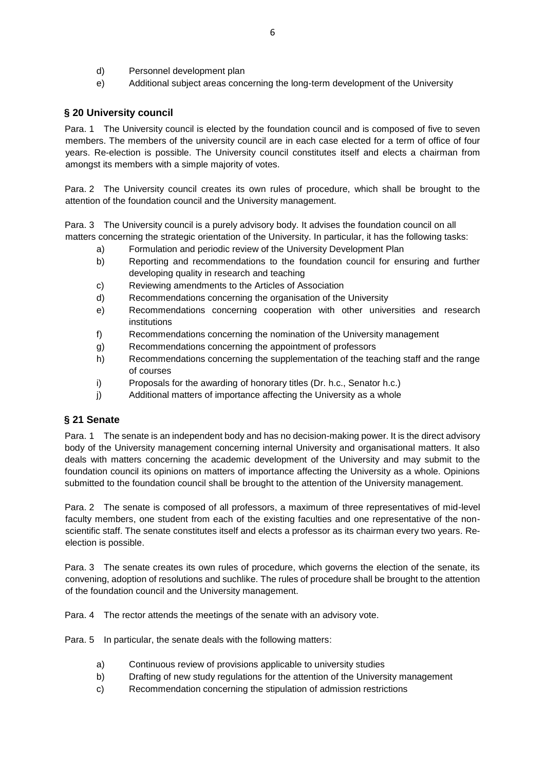- d) Personnel development plan
- e) Additional subject areas concerning the long-term development of the University

#### **§ 20 University council**

Para. 1 The University council is elected by the foundation council and is composed of five to seven members. The members of the university council are in each case elected for a term of office of four years. Re-election is possible. The University council constitutes itself and elects a chairman from amongst its members with a simple majority of votes.

Para. 2 The University council creates its own rules of procedure, which shall be brought to the attention of the foundation council and the University management.

Para. 3 The University council is a purely advisory body. It advises the foundation council on all matters concerning the strategic orientation of the University. In particular, it has the following tasks:

- a) Formulation and periodic review of the University Development Plan
- b) Reporting and recommendations to the foundation council for ensuring and further developing quality in research and teaching
- c) Reviewing amendments to the Articles of Association
- d) Recommendations concerning the organisation of the University
- e) Recommendations concerning cooperation with other universities and research institutions
- f) Recommendations concerning the nomination of the University management
- g) Recommendations concerning the appointment of professors
- h) Recommendations concerning the supplementation of the teaching staff and the range of courses
- i) Proposals for the awarding of honorary titles (Dr. h.c., Senator h.c.)
- j) Additional matters of importance affecting the University as a whole

## **§ 21 Senate**

Para. 1 The senate is an independent body and has no decision-making power. It is the direct advisory body of the University management concerning internal University and organisational matters. It also deals with matters concerning the academic development of the University and may submit to the foundation council its opinions on matters of importance affecting the University as a whole. Opinions submitted to the foundation council shall be brought to the attention of the University management.

Para. 2 The senate is composed of all professors, a maximum of three representatives of mid-level faculty members, one student from each of the existing faculties and one representative of the nonscientific staff. The senate constitutes itself and elects a professor as its chairman every two years. Reelection is possible.

Para. 3 The senate creates its own rules of procedure, which governs the election of the senate, its convening, adoption of resolutions and suchlike. The rules of procedure shall be brought to the attention of the foundation council and the University management.

Para. 4 The rector attends the meetings of the senate with an advisory vote.

Para. 5 In particular, the senate deals with the following matters:

- a) Continuous review of provisions applicable to university studies
- b) Drafting of new study regulations for the attention of the University management
- c) Recommendation concerning the stipulation of admission restrictions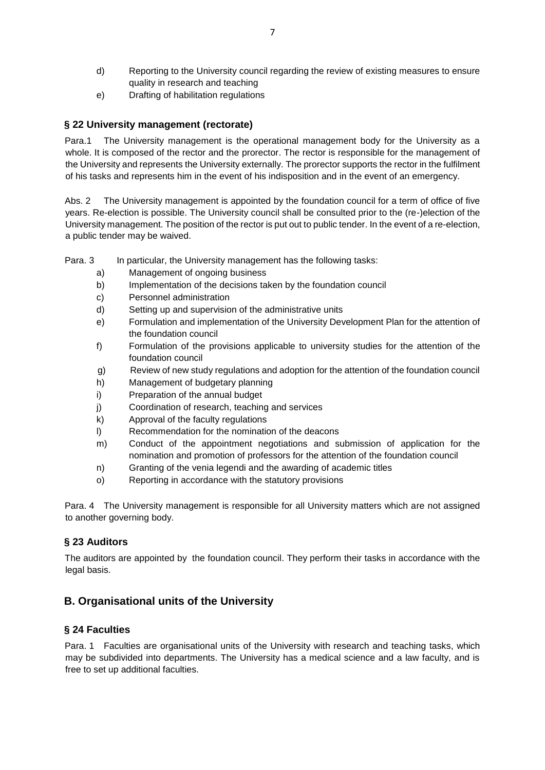- d) Reporting to the University council regarding the review of existing measures to ensure quality in research and teaching
- e) Drafting of habilitation regulations

## **§ 22 University management (rectorate)**

Para.1 The University management is the operational management body for the University as a whole. It is composed of the rector and the prorector. The rector is responsible for the management of the University and represents the University externally. The prorector supports the rector in the fulfilment of his tasks and represents him in the event of his indisposition and in the event of an emergency.

Abs. 2 The University management is appointed by the foundation council for a term of office of five years. Re-election is possible. The University council shall be consulted prior to the (re-)election of the University management. The position of the rector is put out to public tender. In the event of a re-election, a public tender may be waived.

Para. 3 In particular, the University management has the following tasks:

- a) Management of ongoing business
- b) Implementation of the decisions taken by the foundation council
- c) Personnel administration
- d) Setting up and supervision of the administrative units
- e) Formulation and implementation of the University Development Plan for the attention of the foundation council
- f) Formulation of the provisions applicable to university studies for the attention of the foundation council
- g) Review of new study regulations and adoption for the attention of the foundation council
- h) Management of budgetary planning
- i) Preparation of the annual budget
- j) Coordination of research, teaching and services
- k) Approval of the faculty regulations
- l) Recommendation for the nomination of the deacons
- m) Conduct of the appointment negotiations and submission of application for the nomination and promotion of professors for the attention of the foundation council
- n) Granting of the venia legendi and the awarding of academic titles
- o) Reporting in accordance with the statutory provisions

Para. 4 The University management is responsible for all University matters which are not assigned to another governing body.

## **§ 23 Auditors**

The auditors are appointed by the foundation council. They perform their tasks in accordance with the legal basis.

# **B. Organisational units of the University**

## **§ 24 Faculties**

Para. 1 Faculties are organisational units of the University with research and teaching tasks, which may be subdivided into departments. The University has a medical science and a law faculty, and is free to set up additional faculties.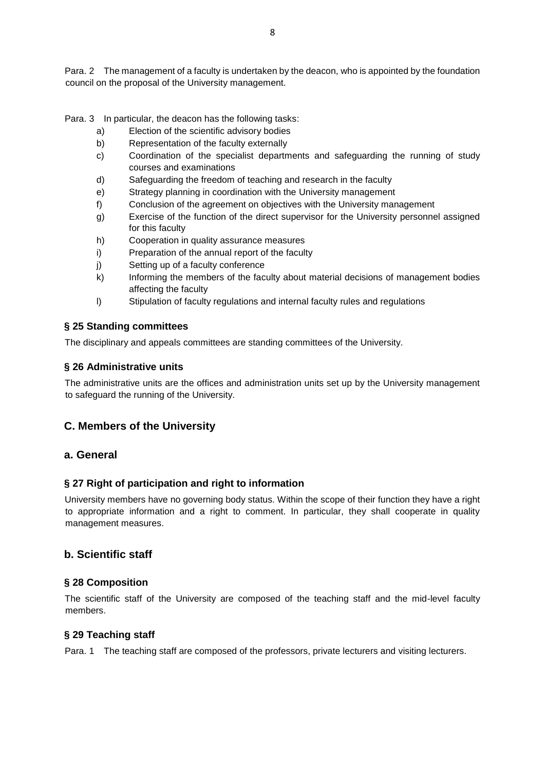Para. 2 The management of a faculty is undertaken by the deacon, who is appointed by the foundation council on the proposal of the University management.

Para. 3 In particular, the deacon has the following tasks:

- a) Election of the scientific advisory bodies
- b) Representation of the faculty externally
- c) Coordination of the specialist departments and safeguarding the running of study courses and examinations
- d) Safeguarding the freedom of teaching and research in the faculty
- e) Strategy planning in coordination with the University management
- f) Conclusion of the agreement on objectives with the University management
- g) Exercise of the function of the direct supervisor for the University personnel assigned for this faculty
- h) Cooperation in quality assurance measures
- i) Preparation of the annual report of the faculty
- j) Setting up of a faculty conference
- k) Informing the members of the faculty about material decisions of management bodies affecting the faculty
- l) Stipulation of faculty regulations and internal faculty rules and regulations

## **§ 25 Standing committees**

The disciplinary and appeals committees are standing committees of the University.

## **§ 26 Administrative units**

The administrative units are the offices and administration units set up by the University management to safeguard the running of the University.

## **C. Members of the University**

## **a. General**

## **§ 27 Right of participation and right to information**

University members have no governing body status. Within the scope of their function they have a right to appropriate information and a right to comment. In particular, they shall cooperate in quality management measures.

## **b. Scientific staff**

## **§ 28 Composition**

The scientific staff of the University are composed of the teaching staff and the mid-level faculty members.

## **§ 29 Teaching staff**

Para. 1 The teaching staff are composed of the professors, private lecturers and visiting lecturers.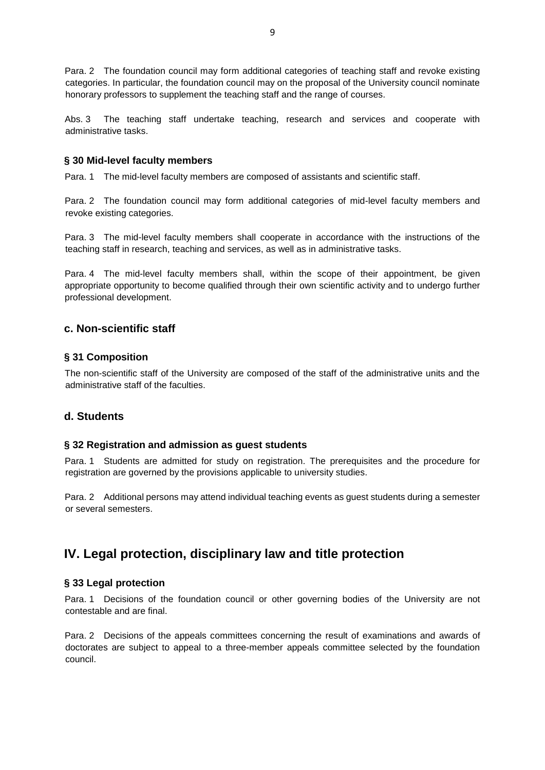Para. 2 The foundation council may form additional categories of teaching staff and revoke existing categories. In particular, the foundation council may on the proposal of the University council nominate honorary professors to supplement the teaching staff and the range of courses.

Abs. 3 The teaching staff undertake teaching, research and services and cooperate with administrative tasks.

#### **§ 30 Mid-level faculty members**

Para. 1 The mid-level faculty members are composed of assistants and scientific staff.

Para. 2 The foundation council may form additional categories of mid-level faculty members and revoke existing categories.

Para. 3 The mid-level faculty members shall cooperate in accordance with the instructions of the teaching staff in research, teaching and services, as well as in administrative tasks.

Para. 4 The mid-level faculty members shall, within the scope of their appointment, be given appropriate opportunity to become qualified through their own scientific activity and to undergo further professional development.

## **c. Non-scientific staff**

#### **§ 31 Composition**

The non-scientific staff of the University are composed of the staff of the administrative units and the administrative staff of the faculties.

## **d. Students**

#### **§ 32 Registration and admission as guest students**

Para. 1 Students are admitted for study on registration. The prerequisites and the procedure for registration are governed by the provisions applicable to university studies.

Para. 2 Additional persons may attend individual teaching events as guest students during a semester or several semesters.

# **IV. Legal protection, disciplinary law and title protection**

#### **§ 33 Legal protection**

Para. 1 Decisions of the foundation council or other governing bodies of the University are not contestable and are final.

Para. 2 Decisions of the appeals committees concerning the result of examinations and awards of doctorates are subject to appeal to a three-member appeals committee selected by the foundation council.